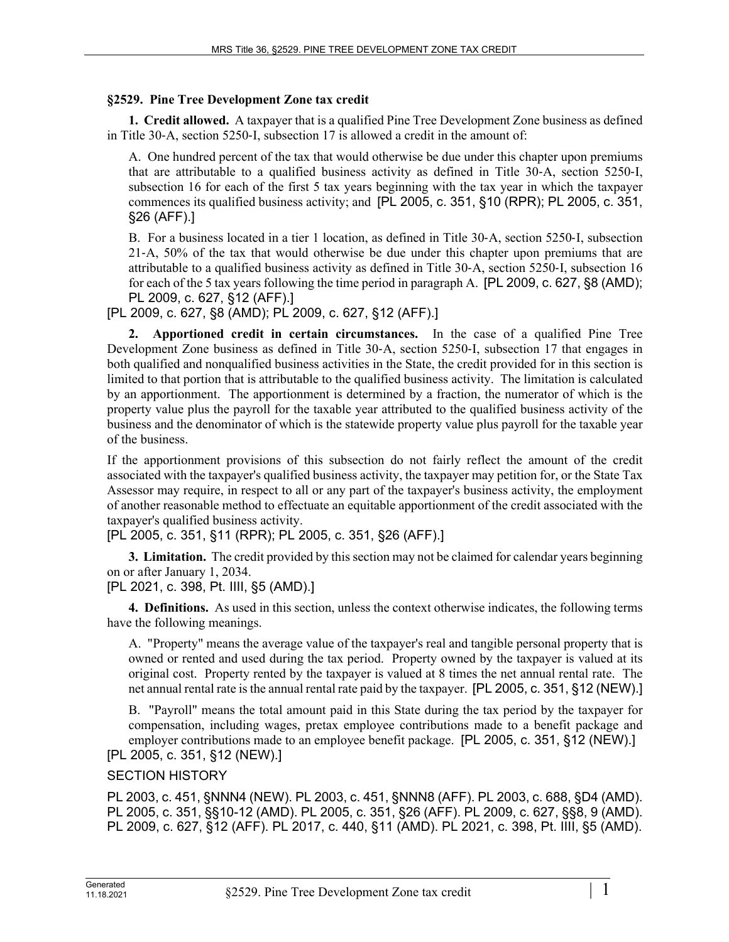## **§2529. Pine Tree Development Zone tax credit**

**1. Credit allowed.** A taxpayer that is a qualified Pine Tree Development Zone business as defined in Title 30‑A, section 5250‑I, subsection 17 is allowed a credit in the amount of:

A. One hundred percent of the tax that would otherwise be due under this chapter upon premiums that are attributable to a qualified business activity as defined in Title 30‑A, section 5250‑I, subsection 16 for each of the first 5 tax years beginning with the tax year in which the taxpayer commences its qualified business activity; and [PL 2005, c. 351, §10 (RPR); PL 2005, c. 351, §26 (AFF).]

B. For a business located in a tier 1 location, as defined in Title 30‑A, section 5250‑I, subsection 21‑A, 50% of the tax that would otherwise be due under this chapter upon premiums that are attributable to a qualified business activity as defined in Title 30‑A, section 5250‑I, subsection 16 for each of the 5 tax years following the time period in paragraph A. [PL 2009, c. 627, §8 (AMD); PL 2009, c. 627, §12 (AFF).]

[PL 2009, c. 627, §8 (AMD); PL 2009, c. 627, §12 (AFF).]

**2. Apportioned credit in certain circumstances.** In the case of a qualified Pine Tree Development Zone business as defined in Title 30‑A, section 5250‑I, subsection 17 that engages in both qualified and nonqualified business activities in the State, the credit provided for in this section is limited to that portion that is attributable to the qualified business activity. The limitation is calculated by an apportionment. The apportionment is determined by a fraction, the numerator of which is the property value plus the payroll for the taxable year attributed to the qualified business activity of the business and the denominator of which is the statewide property value plus payroll for the taxable year of the business.

If the apportionment provisions of this subsection do not fairly reflect the amount of the credit associated with the taxpayer's qualified business activity, the taxpayer may petition for, or the State Tax Assessor may require, in respect to all or any part of the taxpayer's business activity, the employment of another reasonable method to effectuate an equitable apportionment of the credit associated with the taxpayer's qualified business activity.

[PL 2005, c. 351, §11 (RPR); PL 2005, c. 351, §26 (AFF).]

**3. Limitation.** The credit provided by this section may not be claimed for calendar years beginning on or after January 1, 2034.

[PL 2021, c. 398, Pt. IIII, §5 (AMD).]

**4. Definitions.** As used in this section, unless the context otherwise indicates, the following terms have the following meanings.

A. "Property" means the average value of the taxpayer's real and tangible personal property that is owned or rented and used during the tax period. Property owned by the taxpayer is valued at its original cost. Property rented by the taxpayer is valued at 8 times the net annual rental rate. The net annual rental rate is the annual rental rate paid by the taxpayer. [PL 2005, c. 351, §12 (NEW).]

B. "Payroll" means the total amount paid in this State during the tax period by the taxpayer for compensation, including wages, pretax employee contributions made to a benefit package and employer contributions made to an employee benefit package. [PL 2005, c. 351, §12 (NEW).] [PL 2005, c. 351, §12 (NEW).]

## SECTION HISTORY

PL 2003, c. 451, §NNN4 (NEW). PL 2003, c. 451, §NNN8 (AFF). PL 2003, c. 688, §D4 (AMD). PL 2005, c. 351, §§10-12 (AMD). PL 2005, c. 351, §26 (AFF). PL 2009, c. 627, §§8, 9 (AMD). PL 2009, c. 627, §12 (AFF). PL 2017, c. 440, §11 (AMD). PL 2021, c. 398, Pt. IIII, §5 (AMD).